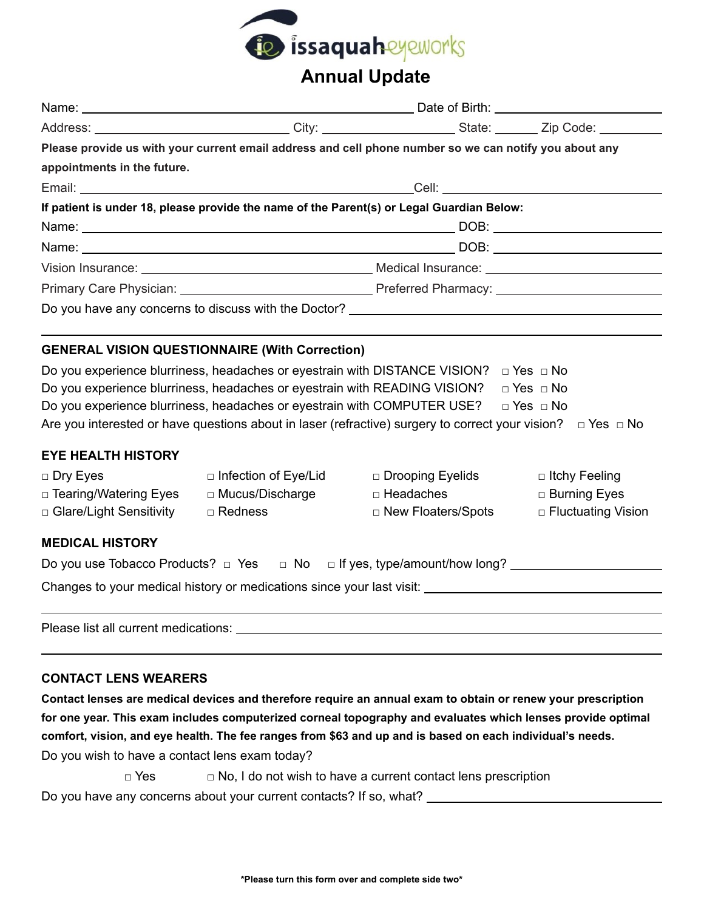

## **Annual Update**

|                                                                                                                                                                                                                                     |                             | Address: ________________________________City: _______________________State: ________Zip Code: _______________        |                      |  |  |
|-------------------------------------------------------------------------------------------------------------------------------------------------------------------------------------------------------------------------------------|-----------------------------|-----------------------------------------------------------------------------------------------------------------------|----------------------|--|--|
|                                                                                                                                                                                                                                     |                             | Please provide us with your current email address and cell phone number so we can notify you about any                |                      |  |  |
| appointments in the future.                                                                                                                                                                                                         |                             |                                                                                                                       |                      |  |  |
| Cell: <b>Cell</b> Service and the service of the service of the service of the service of the service of the service of the service of the service of the service of the service of the service of the service of the service of th |                             |                                                                                                                       |                      |  |  |
|                                                                                                                                                                                                                                     |                             | If patient is under 18, please provide the name of the Parent(s) or Legal Guardian Below:                             |                      |  |  |
|                                                                                                                                                                                                                                     |                             |                                                                                                                       |                      |  |  |
|                                                                                                                                                                                                                                     |                             |                                                                                                                       |                      |  |  |
|                                                                                                                                                                                                                                     |                             |                                                                                                                       |                      |  |  |
|                                                                                                                                                                                                                                     |                             |                                                                                                                       |                      |  |  |
|                                                                                                                                                                                                                                     |                             |                                                                                                                       |                      |  |  |
| <b>GENERAL VISION QUESTIONNAIRE (With Correction)</b>                                                                                                                                                                               |                             |                                                                                                                       |                      |  |  |
| Do you experience blurriness, headaches or eyestrain with DISTANCE VISION?                                                                                                                                                          |                             |                                                                                                                       | $\Box$ Yes $\Box$ No |  |  |
| Do you experience blurriness, headaches or eyestrain with READING VISION?                                                                                                                                                           |                             |                                                                                                                       | $\Box$ Yes $\Box$ No |  |  |
| Do you experience blurriness, headaches or eyestrain with COMPUTER USE?                                                                                                                                                             |                             |                                                                                                                       | $\Box$ Yes $\Box$ No |  |  |
|                                                                                                                                                                                                                                     |                             | Are you interested or have questions about in laser (refractive) surgery to correct your vision? $\Box$ Yes $\Box$ No |                      |  |  |
| <b>EYE HEALTH HISTORY</b>                                                                                                                                                                                                           |                             |                                                                                                                       |                      |  |  |
| $\Box$ Dry Eyes                                                                                                                                                                                                                     | $\Box$ Infection of Eye/Lid | $\Box$ Drooping Eyelids                                                                                               | $\Box$ Itchy Feeling |  |  |
| $\Box$ Tearing/Watering Eyes                                                                                                                                                                                                        | □ Mucus/Discharge           | □ Headaches                                                                                                           | $\Box$ Burning Eyes  |  |  |
| □ Glare/Light Sensitivity                                                                                                                                                                                                           | □ Redness                   | □ New Floaters/Spots                                                                                                  | □ Fluctuating Vision |  |  |
| <b>MEDICAL HISTORY</b>                                                                                                                                                                                                              |                             |                                                                                                                       |                      |  |  |
|                                                                                                                                                                                                                                     |                             | Do you use Tobacco Products? $\Box$ Yes $\Box$ No $\Box$ If yes, type/amount/how long?                                |                      |  |  |
|                                                                                                                                                                                                                                     |                             | Changes to your medical history or medications since your last visit: ______________________________                  |                      |  |  |
|                                                                                                                                                                                                                                     |                             |                                                                                                                       |                      |  |  |
| <b>CONTACT LENS WEARERS</b>                                                                                                                                                                                                         |                             |                                                                                                                       |                      |  |  |

**Contact lenses are medical devices and therefore require an annual exam to obtain or renew your prescription for one year. This exam includes computerized corneal topography and evaluates which lenses provide optimal comfort, vision, and eye health. The fee ranges from \$63 and up and is based on each individual's needs.** Do you wish to have a contact lens exam today?

 $\Box$  Yes  $\Box$  No, I do not wish to have a current contact lens prescription Do you have any concerns about your current contacts? If so, what? \_\_\_\_\_\_\_\_\_\_\_\_\_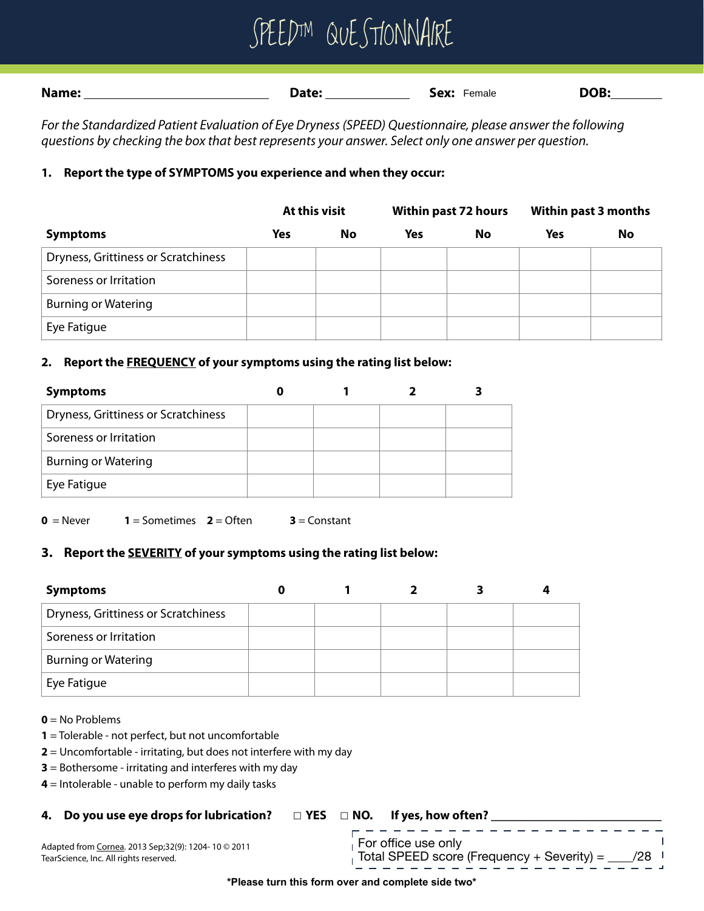# SPEEDTM QUESTIONNAIRE

| Name: | Date: | Sex:<br>Female | <b>DOB.</b> |
|-------|-------|----------------|-------------|
|       |       |                |             |

*For the Standardized Patient Evaluation of Eye Dryness (SPEED) Questionnaire, please answer the following questions by checking the box that best represents your answer. Select only one answer per question.* 

### **1. Report the type of SYMPTOMS you experience and when they occur:**

|                                     | At this visit |    | <b>Within past 72 hours</b> |    | <b>Within past 3 months</b> |    |
|-------------------------------------|---------------|----|-----------------------------|----|-----------------------------|----|
| <b>Symptoms</b>                     | <b>Yes</b>    | No | Yes                         | No | Yes                         | No |
| Dryness, Grittiness or Scratchiness |               |    |                             |    |                             |    |
| Soreness or Irritation              |               |    |                             |    |                             |    |
| <b>Burning or Watering</b>          |               |    |                             |    |                             |    |
| Eye Fatigue                         |               |    |                             |    |                             |    |

### **2. Report the FREQUENCY of your symptoms using the rating list below:**

| <b>Symptoms</b>                     |  |  |
|-------------------------------------|--|--|
| Dryness, Grittiness or Scratchiness |  |  |
| Soreness or Irritation              |  |  |
| <b>Burning or Watering</b>          |  |  |
| Eye Fatigue                         |  |  |

 $0 =$  Never **1** = Sometimes **2** = Often **3** = Constant

### **3. Report the SEVERITY of your symptoms using the rating list below:**

| <b>Symptoms</b>                     |  |  |  |
|-------------------------------------|--|--|--|
| Dryness, Grittiness or Scratchiness |  |  |  |
| Soreness or Irritation              |  |  |  |
| <b>Burning or Watering</b>          |  |  |  |
| Eye Fatigue                         |  |  |  |

**0** = No Problems

- **1** = Tolerable not perfect, but not uncomfortable
- **2** = Uncomfortable irritating, but does not interfere with my day
- **3** = Bothersome irritating and interferes with my day
- **4** = Intolerable unable to perform my daily tasks

### **4.** Do you use eye drops for lubrication? □ YES □ NO. If yes, how often? \_

Adapted from Cornea. 2013 Sep;32(9): 1204- 10 © 2011 TearScience, Inc. All rights reserved.

For office use only Total SPEED score (Frequency + Severity) = \_\_\_\_/28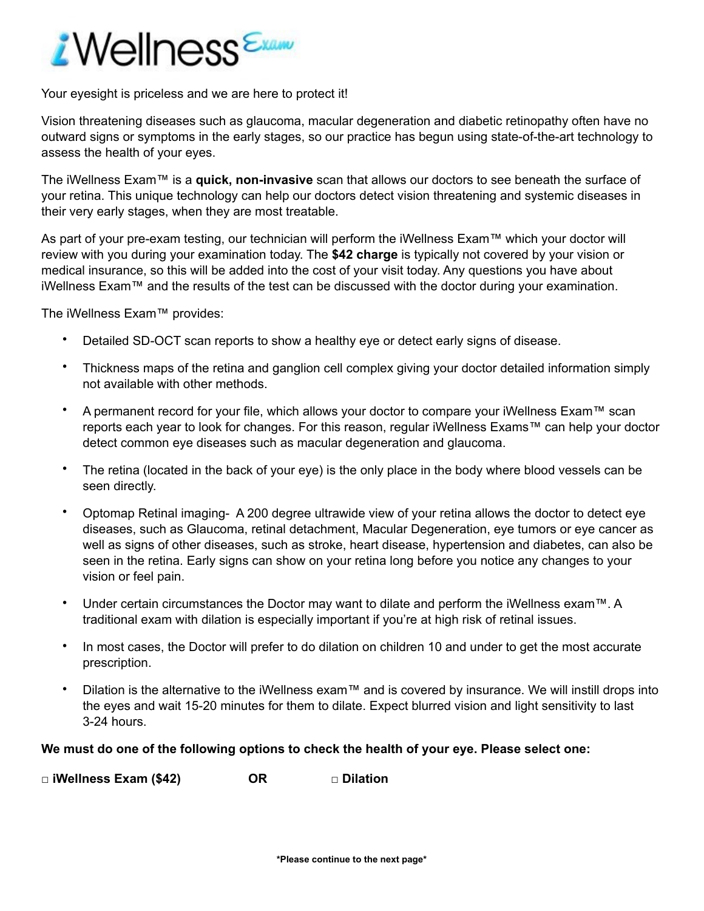

Your eyesight is priceless and we are here to protect it!

Vision threatening diseases such as glaucoma, macular degeneration and diabetic retinopathy often have no outward signs or symptoms in the early stages, so our practice has begun using state-of-the-art technology to assess the health of your eyes.

The iWellness Exam™ is a **quick, non-invasive** scan that allows our doctors to see beneath the surface of your retina. This unique technology can help our doctors detect vision threatening and systemic diseases in their very early stages, when they are most treatable.

As part of your pre-exam testing, our technician will perform the iWellness Exam™ which your doctor will review with you during your examination today. The **\$42 charge** is typically not covered by your vision or medical insurance, so this will be added into the cost of your visit today. Any questions you have about iWellness Exam™ and the results of the test can be discussed with the doctor during your examination.

The iWellness Exam™ provides:

- Detailed SD-OCT scan reports to show a healthy eye or detect early signs of disease.
- Thickness maps of the retina and ganglion cell complex giving your doctor detailed information simply not available with other methods.
- A permanent record for your file, which allows your doctor to compare your iWellness Exam™ scan reports each year to look for changes. For this reason, regular iWellness Exams™ can help your doctor detect common eye diseases such as macular degeneration and glaucoma.
- The retina (located in the back of your eye) is the only place in the body where blood vessels can be seen directly.
- Optomap Retinal imaging- A 200 degree ultrawide view of your retina allows the doctor to detect eye diseases, such as Glaucoma, retinal detachment, Macular Degeneration, eye tumors or eye cancer as well as signs of other diseases, such as stroke, heart disease, hypertension and diabetes, can also be seen in the retina. Early signs can show on your retina long before you notice any changes to your vision or feel pain.
- Under certain circumstances the Doctor may want to dilate and perform the iWellness exam™. A traditional exam with dilation is especially important if you're at high risk of retinal issues.
- In most cases, the Doctor will prefer to do dilation on children 10 and under to get the most accurate prescription.
- Dilation is the alternative to the iWellness exam™ and is covered by insurance. We will instill drops into the eyes and wait 15-20 minutes for them to dilate. Expect blurred vision and light sensitivity to last 3-24 hours.

### **We must do one of the following options to check the health of your eye. Please select one:**

□ **iWellness Exam (\$42) OR** □ **Dilation**